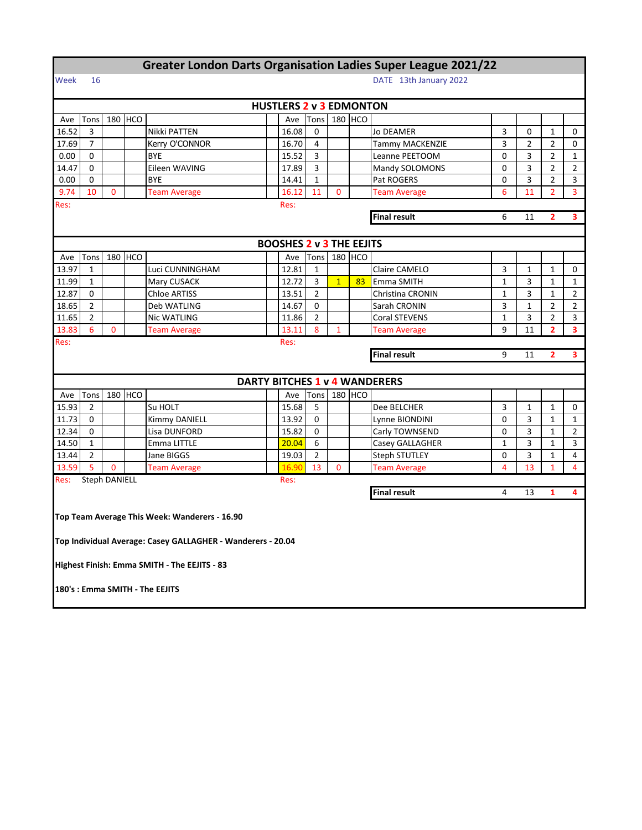|                                                  |                      |              |         | <b>Greater London Darts Organisation Ladies Super League 2021/22</b> |                                |                                 |                |                |                                                  |                                      |              |                |                |                |  |  |
|--------------------------------------------------|----------------------|--------------|---------|----------------------------------------------------------------------|--------------------------------|---------------------------------|----------------|----------------|--------------------------------------------------|--------------------------------------|--------------|----------------|----------------|----------------|--|--|
| Week                                             | 16                   |              |         |                                                                      |                                |                                 |                |                |                                                  | DATE 13th January 2022               |              |                |                |                |  |  |
|                                                  |                      |              |         |                                                                      |                                |                                 |                |                |                                                  |                                      |              |                |                |                |  |  |
|                                                  |                      |              |         |                                                                      | <b>HUSTLERS 2 v 3 EDMONTON</b> |                                 |                |                |                                                  |                                      |              |                |                |                |  |  |
| Ave                                              | Tons                 |              | 180 HCO |                                                                      |                                | Ave                             | Tons           |                | 180 HCO                                          |                                      |              |                |                |                |  |  |
| 16.52                                            | 3                    |              |         | Nikki PATTEN                                                         |                                | 16.08                           | 0              |                |                                                  | <b>Jo DEAMER</b>                     | 3            | 0              | $\mathbf{1}$   | 0              |  |  |
| 17.69                                            | $\overline{7}$       |              |         | Kerry O'CONNOR                                                       |                                | 16.70                           | 4              |                |                                                  | <b>Tammy MACKENZIE</b>               | 3            | $\overline{2}$ | $\overline{2}$ | 0              |  |  |
| 0.00                                             | 0                    |              |         | <b>BYE</b>                                                           |                                | 15.52                           | 3              |                |                                                  | Leanne PEETOOM                       | 0            | 3              | $\overline{2}$ | $\mathbf{1}$   |  |  |
| 14.47                                            | 0                    |              |         | Eileen WAVING                                                        |                                | 17.89                           | 3              |                |                                                  | Mandy SOLOMONS                       | 0            | 3              | $\overline{2}$ | 2              |  |  |
| 0.00                                             | 0                    |              |         | <b>BYE</b>                                                           |                                | 14.41                           | $\mathbf{1}$   |                |                                                  | Pat ROGERS                           | 0            | 3              | $\overline{2}$ | 3              |  |  |
| 9.74                                             | 10                   | $\mathbf{0}$ |         | <b>Team Average</b>                                                  |                                | 16.12                           | 11             | $\mathbf{0}$   |                                                  | <b>Team Average</b>                  | 6            | 11             | $\overline{2}$ | 3              |  |  |
| Res:                                             |                      |              |         |                                                                      |                                | Res:                            |                |                |                                                  |                                      |              |                |                |                |  |  |
|                                                  |                      |              |         |                                                                      |                                |                                 |                |                | <b>Final result</b><br>6<br>11<br>$\overline{2}$ |                                      |              |                |                |                |  |  |
|                                                  |                      |              |         |                                                                      |                                |                                 |                |                |                                                  |                                      |              |                |                |                |  |  |
|                                                  |                      |              |         |                                                                      |                                | <b>BOOSHES 2 v 3 THE EEJITS</b> |                |                |                                                  |                                      |              |                |                |                |  |  |
| Ave                                              | Tons                 |              | 180 HCO |                                                                      |                                | Ave                             | Tons           | 180            | <b>HCO</b>                                       |                                      |              |                |                |                |  |  |
| 13.97                                            | $\mathbf{1}$         |              |         | Luci CUNNINGHAM                                                      |                                | 12.81                           | $\mathbf{1}$   |                |                                                  | Claire CAMELO                        | 3            | $\mathbf{1}$   | $\mathbf{1}$   | 0              |  |  |
| 11.99                                            | $\mathbf{1}$         |              |         | Mary CUSACK                                                          |                                | 12.72                           | 3              | $\overline{1}$ | 83                                               | Emma SMITH                           | $\mathbf{1}$ | 3              | $\mathbf{1}$   | $\mathbf{1}$   |  |  |
| 12.87                                            | 0                    |              |         | Chloe ARTISS                                                         |                                | 13.51                           | $\overline{2}$ |                |                                                  | Christina CRONIN                     | $\mathbf{1}$ | 3              | $\mathbf{1}$   | $\overline{2}$ |  |  |
| 18.65                                            | $\overline{2}$       |              |         | Deb WATLING                                                          |                                | 14.67                           | 0              |                |                                                  | Sarah CRONIN                         | 3            | $\mathbf{1}$   | $\overline{2}$ | $\overline{2}$ |  |  |
| 11.65                                            | $\overline{2}$       |              |         | Nic WATLING                                                          |                                | 11.86                           | $\overline{2}$ |                |                                                  | Coral STEVENS                        | $\mathbf{1}$ | 3              | $\overline{2}$ | 3              |  |  |
| 13.83                                            | 6                    | $\mathbf 0$  |         | <b>Team Average</b>                                                  |                                | 13.11                           | 8              | $\mathbf{1}$   |                                                  | <b>Team Average</b>                  | 9            | 11             | $\overline{2}$ | 3              |  |  |
| Res:                                             |                      |              |         |                                                                      |                                | Res:                            |                |                |                                                  |                                      |              |                |                |                |  |  |
| <b>Final result</b><br>9<br>11<br>$\overline{2}$ |                      |              |         |                                                                      |                                |                                 |                |                |                                                  | 3                                    |              |                |                |                |  |  |
|                                                  |                      |              |         |                                                                      |                                |                                 |                |                |                                                  |                                      |              |                |                |                |  |  |
|                                                  |                      |              |         |                                                                      |                                |                                 |                |                |                                                  | <b>DARTY BITCHES 1 v 4 WANDERERS</b> |              |                |                |                |  |  |
| Ave                                              | Tons                 |              | 180 HCO |                                                                      |                                | Ave                             | Tons           |                | 180 HCO                                          |                                      |              |                |                |                |  |  |
| 15.93                                            | 2                    |              |         | Su HOLT                                                              |                                | 15.68                           | 5              |                |                                                  | Dee BELCHER                          | 3            | 1              | 1              | 0              |  |  |
| 11.73                                            | 0                    |              |         | Kimmy DANIELL                                                        |                                | 13.92                           | $\mathbf 0$    |                |                                                  | Lynne BIONDINI                       | 0            | 3              | $\mathbf{1}$   | 1              |  |  |
| 12.34                                            | $\Omega$             |              |         | Lisa DUNFORD                                                         |                                | 15.82                           | 0              |                |                                                  | Carly TOWNSEND                       | 0            | 3              | $\mathbf{1}$   | 2              |  |  |
| 14.50                                            | $\mathbf{1}$         |              |         | <b>Emma LITTLE</b>                                                   |                                | 20.04                           | 6              |                |                                                  | Casey GALLAGHER                      | $\mathbf{1}$ | 3              | $\mathbf{1}$   | 3              |  |  |
| 13.44                                            | $\overline{2}$       |              |         | Jane BIGGS                                                           |                                | 19.03                           | $\overline{2}$ |                |                                                  | Steph STUTLEY                        | 0            | 3              | $\mathbf{1}$   | 4              |  |  |
| 13.59                                            | 5                    | $\mathbf 0$  |         | <b>Team Average</b>                                                  |                                | 16.90                           | 13             | 0              |                                                  | <b>Team Average</b>                  | 4            | 13             | $\mathbf{1}$   | $\overline{4}$ |  |  |
| Res:                                             | <b>Steph DANIELL</b> |              |         |                                                                      |                                | Res:                            |                |                |                                                  |                                      |              |                |                |                |  |  |
|                                                  |                      |              |         |                                                                      |                                |                                 |                |                |                                                  | <b>Final result</b>                  | 4            | 13             | 1              | 4              |  |  |
|                                                  |                      |              |         |                                                                      |                                |                                 |                |                |                                                  |                                      |              |                |                |                |  |  |
|                                                  |                      |              |         | Top Team Average This Week: Wanderers - 16.90                        |                                |                                 |                |                |                                                  |                                      |              |                |                |                |  |  |
|                                                  |                      |              |         |                                                                      |                                |                                 |                |                |                                                  |                                      |              |                |                |                |  |  |
|                                                  |                      |              |         | Top Individual Average: Casey GALLAGHER - Wanderers - 20.04          |                                |                                 |                |                |                                                  |                                      |              |                |                |                |  |  |
|                                                  |                      |              |         |                                                                      |                                |                                 |                |                |                                                  |                                      |              |                |                |                |  |  |
|                                                  |                      |              |         | Highest Finish: Emma SMITH - The EEJITS - 83                         |                                |                                 |                |                |                                                  |                                      |              |                |                |                |  |  |
|                                                  |                      |              |         |                                                                      |                                |                                 |                |                |                                                  |                                      |              |                |                |                |  |  |
|                                                  |                      |              |         | 180's : Emma SMITH - The EEJITS                                      |                                |                                 |                |                |                                                  |                                      |              |                |                |                |  |  |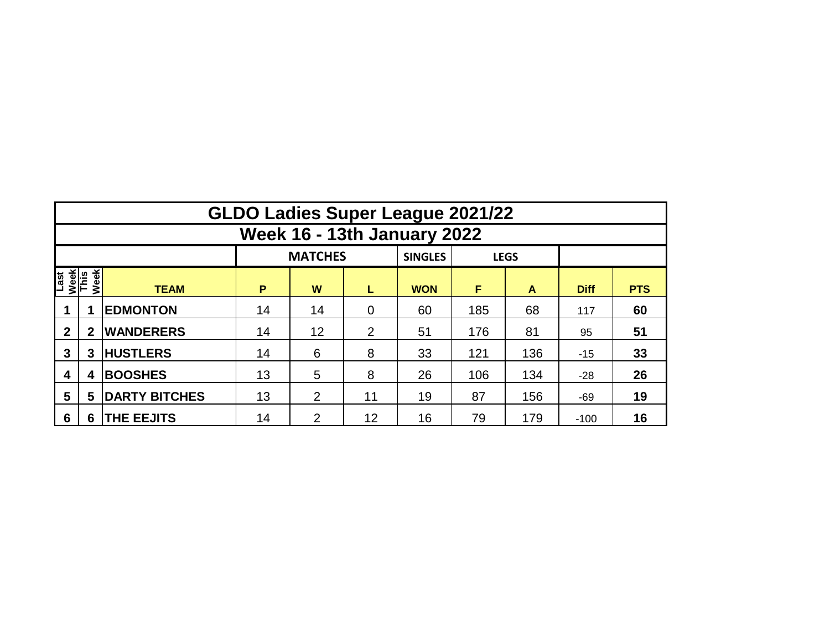|                                     | <b>GLDO Ladies Super League 2021/22</b> |                      |    |                |                |                |     |             |             |            |  |  |  |  |  |
|-------------------------------------|-----------------------------------------|----------------------|----|----------------|----------------|----------------|-----|-------------|-------------|------------|--|--|--|--|--|
|                                     | <b>Week 16 - 13th January 2022</b>      |                      |    |                |                |                |     |             |             |            |  |  |  |  |  |
|                                     |                                         |                      |    | <b>MATCHES</b> |                | <b>SINGLES</b> |     | <b>LEGS</b> |             |            |  |  |  |  |  |
| Week<br>This<br>Week<br><b>Last</b> |                                         | <b>TEAM</b>          | P  | W              | L              | <b>WON</b>     | F   | A           | <b>Diff</b> | <b>PTS</b> |  |  |  |  |  |
|                                     |                                         | <b>EDMONTON</b>      | 14 | 14             | $\overline{0}$ | 60             | 185 | 68          | 117         | 60         |  |  |  |  |  |
| $\mathbf{2}$                        | $\mathbf{2}$                            | <b>WANDERERS</b>     | 14 | 12             | 2              | 51             | 176 | 81          | 95          | 51         |  |  |  |  |  |
| 3                                   | 3                                       | <b>HUSTLERS</b>      | 14 | 6              | 8              | 33             | 121 | 136         | $-15$       | 33         |  |  |  |  |  |
| 4                                   | 4                                       | <b>BOOSHES</b>       | 13 | 5              | 8              | 26             | 106 | 134         | $-28$       | 26         |  |  |  |  |  |
| 5                                   | 5                                       | <b>DARTY BITCHES</b> | 13 | 2              | 11             | 19             | 87  | 156         | $-69$       | 19         |  |  |  |  |  |
| 6                                   | 6                                       | <b>THE EEJITS</b>    | 14 | 2              | 12             | 16             | 79  | 179         | $-100$      | 16         |  |  |  |  |  |